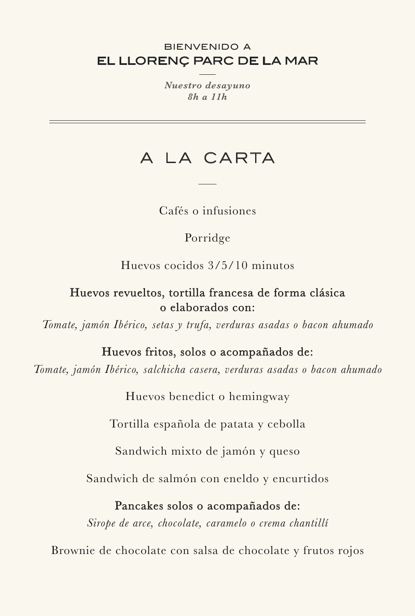### EL LLORENÇ PARC DE LA MAR BIENVENIDO A

*Nuestro desayuno 8h a 11h*

# A LA CARTA

Cafés o infusiones

## Porridge

Huevos cocidos 3/5/10 minutos

### Huevos revueltos, tortilla francesa de forma clásica o elaborados con:

*Tomate, jamón Ibérico, setas y trufa, verduras asadas o bacon ahumado*

## Huevos fritos, solos o acompañados de:

*Tomate, jamón Ibérico, salchicha casera, verduras asadas o bacon ahumado*

Huevos benedict o hemingway

Tortilla española de patata y cebolla

Sandwich mixto de jamón y queso

Sandwich de salmón con eneldo y encurtidos

### Pancakes solos o acompañados de:

*Sirope de arce, chocolate, caramelo o crema chantillí*

Brownie de chocolate con salsa de chocolate y frutos rojos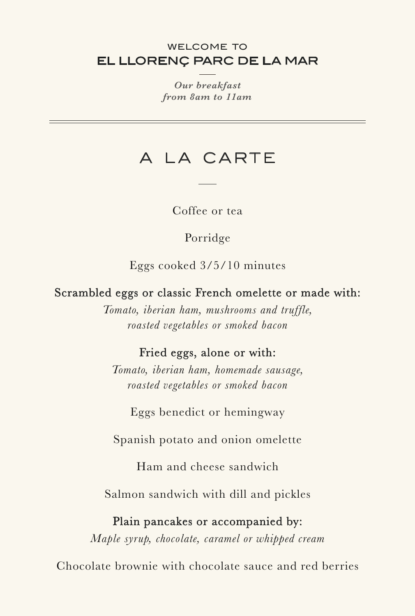### EL LLORENÇ PARC DE LA MAR WELCOME TO

*Our breakfast from 8am to 11am*

## A LA CARTE

Coffee or tea

Porridge

Eggs cooked 3/5/10 minutes

Scrambled eggs or classic French omelette or made with:

*Tomato, iberian ham, mushrooms and truffle, roasted vegetables or smoked bacon*

## Fried eggs, alone or with:

*Tomato, iberian ham, homemade sausage, roasted vegetables or smoked bacon*

Eggs benedict or hemingway

Spanish potato and onion omelette

Ham and cheese sandwich

Salmon sandwich with dill and pickles

### Plain pancakes or accompanied by:

*Maple syrup, chocolate, caramel or whipped cream*

Chocolate brownie with chocolate sauce and red berries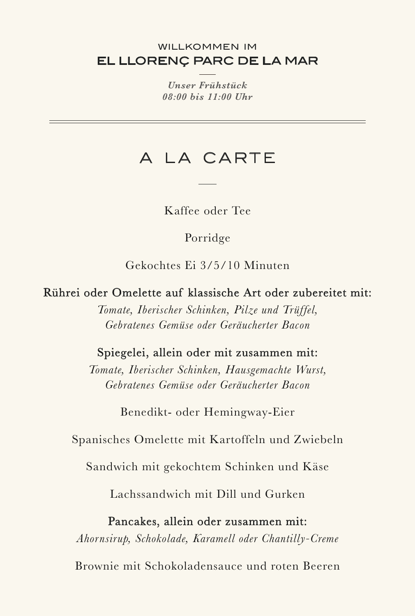#### EL LLORENÇ PARC DE LA MAR WILLKOMMEN IM

*Unser Frühstück 08:00 bis 11:00 Uhr*

## A LA CARTE

Kaffee oder Tee

Porridge

Gekochtes Ei 3/5/10 Minuten

Rührei oder Omelette auf klassische Art oder zubereitet mit:

*Tomate, Iberischer Schinken, Pilze und Trüffel, Gebratenes Gemüse oder Geräucherter Bacon*

### Spiegelei, allein oder mit zusammen mit:

*Tomate, Iberischer Schinken, Hausgemachte Wurst, Gebratenes Gemüse oder Geräucherter Bacon*

Benedikt- oder Hemingway-Eier

Spanisches Omelette mit Kartoffeln und Zwiebeln

Sandwich mit gekochtem Schinken und Käse

Lachssandwich mit Dill und Gurken

### Pancakes, allein oder zusammen mit:

*Ahornsirup, Schokolade, Karamell oder Chantilly-Creme*

Brownie mit Schokoladensauce und roten Beeren